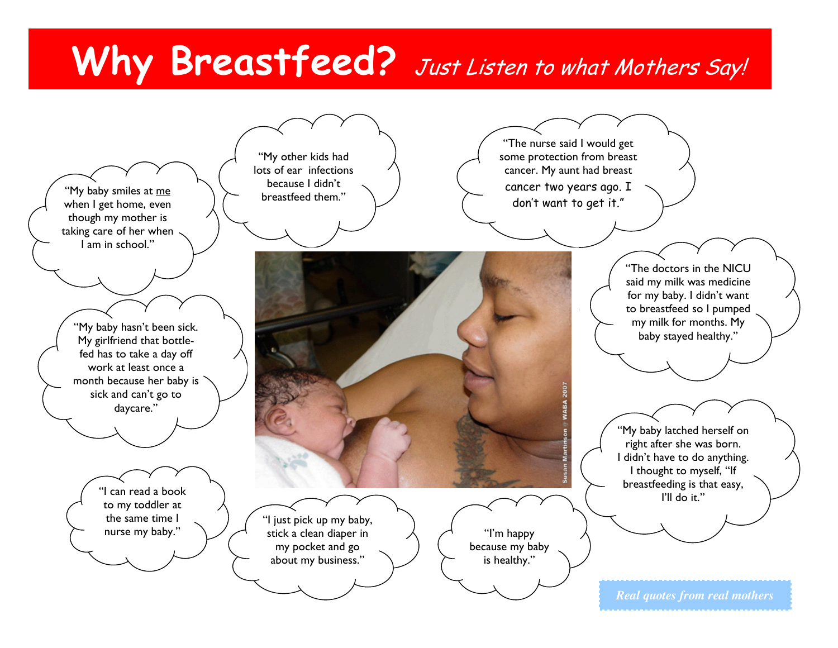# Why Breastfeed? Just Listen to what Mothers Say!